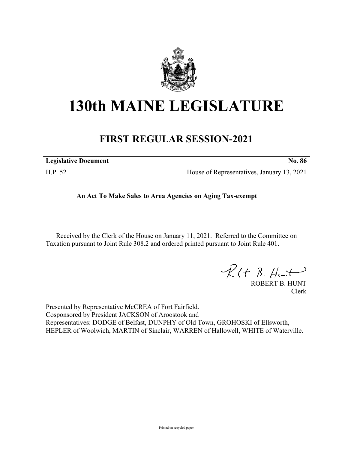

## **130th MAINE LEGISLATURE**

## **FIRST REGULAR SESSION-2021**

| <b>Legislative Document</b> | <b>No. 86</b>                              |
|-----------------------------|--------------------------------------------|
| H.P. 52                     | House of Representatives, January 13, 2021 |

**An Act To Make Sales to Area Agencies on Aging Tax-exempt**

Received by the Clerk of the House on January 11, 2021. Referred to the Committee on Taxation pursuant to Joint Rule 308.2 and ordered printed pursuant to Joint Rule 401.

 $R(t B. Hmt)$ 

ROBERT B. HUNT Clerk

Presented by Representative McCREA of Fort Fairfield. Cosponsored by President JACKSON of Aroostook and Representatives: DODGE of Belfast, DUNPHY of Old Town, GROHOSKI of Ellsworth, HEPLER of Woolwich, MARTIN of Sinclair, WARREN of Hallowell, WHITE of Waterville.